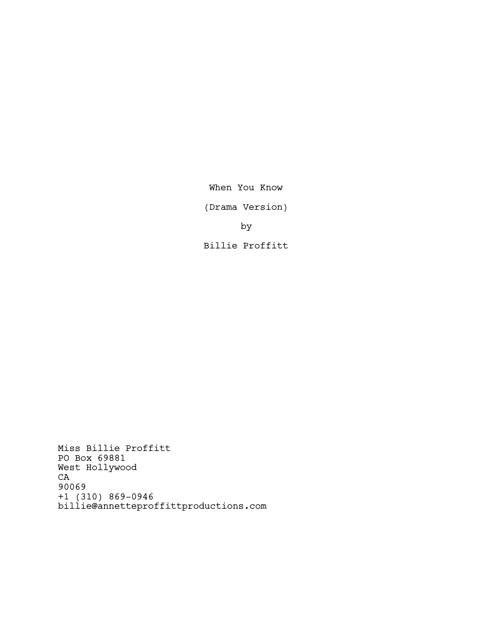When You Know

(Drama Version)

by

Billie Proffitt

Miss Billie Proffitt PO Box 69881 West Hollywood  ${\tt CA}$ 90069 +1 (310) 869-0946 billie@annetteproffittproductions.com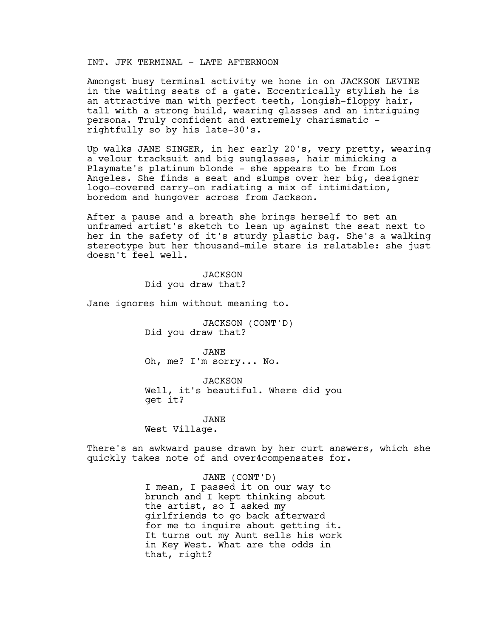# INT. JFK TERMINAL - LATE AFTERNOON

Amongst busy terminal activity we hone in on JACKSON LEVINE in the waiting seats of a gate. Eccentrically stylish he is an attractive man with perfect teeth, longish-floppy hair, tall with a strong build, wearing glasses and an intriguing persona. Truly confident and extremely charismatic rightfully so by his late-30's.

Up walks JANE SINGER, in her early 20's, very pretty, wearing a velour tracksuit and big sunglasses, hair mimicking a Playmate's platinum blonde - she appears to be from Los Angeles. She finds a seat and slumps over her big, designer logo-covered carry-on radiating a mix of intimidation, boredom and hungover across from Jackson.

After a pause and a breath she brings herself to set an unframed artist's sketch to lean up against the seat next to her in the safety of it's sturdy plastic bag. She's a walking stereotype but her thousand-mile stare is relatable: she just doesn't feel well.

> **JACKSON** Did you draw that?

Jane ignores him without meaning to.

JACKSON (CONT'D) Did you draw that?

JANE Oh, me? I'm sorry... No.

*JACKSON* Well, it's beautiful. Where did you get it?

JANE West Village.

There's an awkward pause drawn by her curt answers, which she quickly takes note of and over4compensates for.

## JANE (CONT'D)

I mean, I passed it on our way to brunch and I kept thinking about the artist, so I asked my girlfriends to go back afterward for me to inquire about getting it. It turns out my Aunt sells his work in Key West. What are the odds in that, right?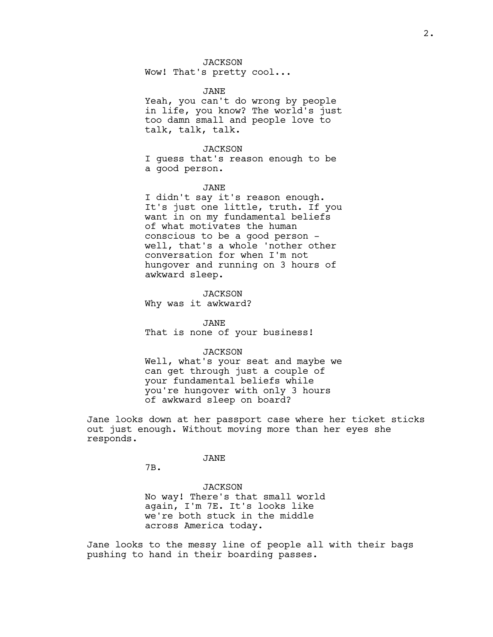Wow! That's pretty cool...

#### JANE

Yeah, you can't do wrong by people in life, you know? The world's just too damn small and people love to talk, talk, talk.

### JACKSON

I guess that's reason enough to be a good person.

# JANE

I didn't say it's reason enough. It's just one little, truth. If you want in on my fundamental beliefs of what motivates the human conscious to be a good person well, that's a whole 'nother other conversation for when I'm not hungover and running on 3 hours of awkward sleep.

**JACKSON** Why was it awkward?

JANE That is none of your business!

#### *JACKSON*

Well, what's your seat and maybe we can get through just a couple of your fundamental beliefs while you're hungover with only 3 hours of awkward sleep on board?

Jane looks down at her passport case where her ticket sticks out just enough. Without moving more than her eyes she responds.

JANE

7B.

JACKSON No way! There's that small world again, I'm 7E. It's looks like we're both stuck in the middle across America today.

Jane looks to the messy line of people all with their bags pushing to hand in their boarding passes.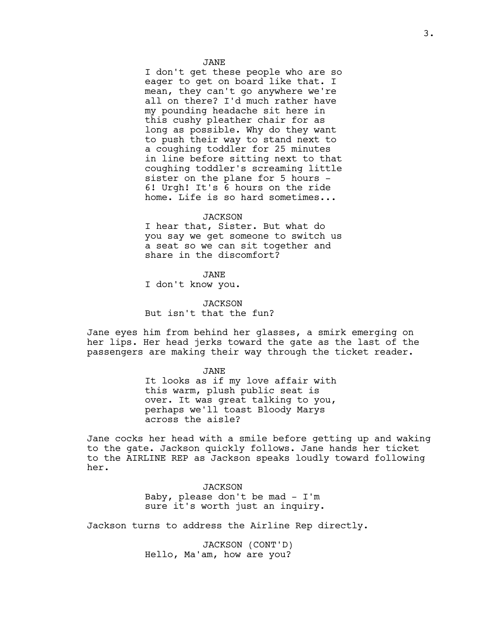I don't get these people who are so eager to get on board like that. I mean, they can't go anywhere we're all on there? I'd much rather have my pounding headache sit here in this cushy pleather chair for as long as possible. Why do they want to push their way to stand next to a coughing toddler for 25 minutes in line before sitting next to that coughing toddler's screaming little sister on the plane for 5 hours - 6! Urgh! It's 6 hours on the ride home. Life is so hard sometimes...

### *JACKSON*

I hear that, Sister. But what do you say we get someone to switch us a seat so we can sit together and share in the discomfort?

JANE

I don't know you.

JACKSON But isn't that the fun?

Jane eyes him from behind her glasses, a smirk emerging on her lips. Her head jerks toward the gate as the last of the passengers are making their way through the ticket reader.

JANE

It looks as if my love affair with this warm, plush public seat is over. It was great talking to you, perhaps we'll toast Bloody Marys across the aisle?

Jane cocks her head with a smile before getting up and waking to the gate. Jackson quickly follows. Jane hands her ticket to the AIRLINE REP as Jackson speaks loudly toward following her.

> *JACKSON* Baby, please don't be mad - I'm sure it's worth just an inquiry.

Jackson turns to address the Airline Rep directly.

JACKSON (CONT'D) Hello, Ma'am, how are you?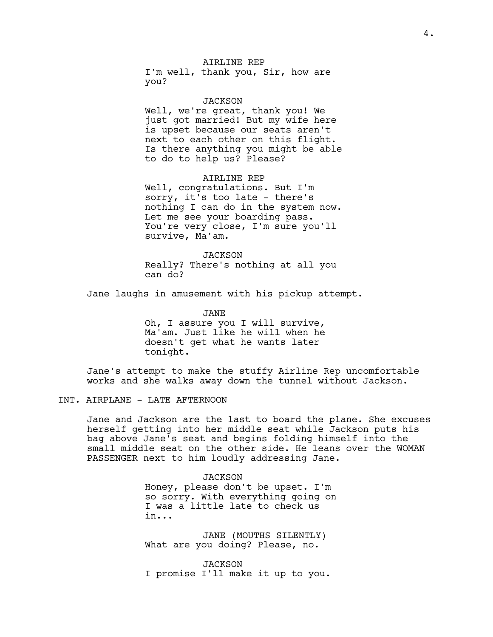# AIRLINE REP

I'm well, thank you, Sir, how are you?

#### JACKSON

Well, we're great, thank you! We just got married! But my wife here is upset because our seats aren't next to each other on this flight. Is there anything you might be able to do to help us? Please?

AIRLINE REP Well, congratulations. But I'm sorry, it's too late - there's nothing I can do in the system now. Let me see your boarding pass. You're very close, I'm sure you'll survive, Ma'am.

JACKSON Really? There's nothing at all you can do?

Jane laughs in amusement with his pickup attempt.

JANE Oh, I assure you I will survive, Ma'am. Just like he will when he doesn't get what he wants later tonight.

Jane's attempt to make the stuffy Airline Rep uncomfortable works and she walks away down the tunnel without Jackson.

# INT. AIRPLANE - LATE AFTERNOON

Jane and Jackson are the last to board the plane. She excuses herself getting into her middle seat while Jackson puts his bag above Jane's seat and begins folding himself into the small middle seat on the other side. He leans over the WOMAN PASSENGER next to him loudly addressing Jane.

JACKSON

Honey, please don't be upset. I'm so sorry. With everything going on I was a little late to check us in...

JANE (MOUTHS SILENTLY) What are you doing? Please, no.

JACKSON I promise I'll make it up to you.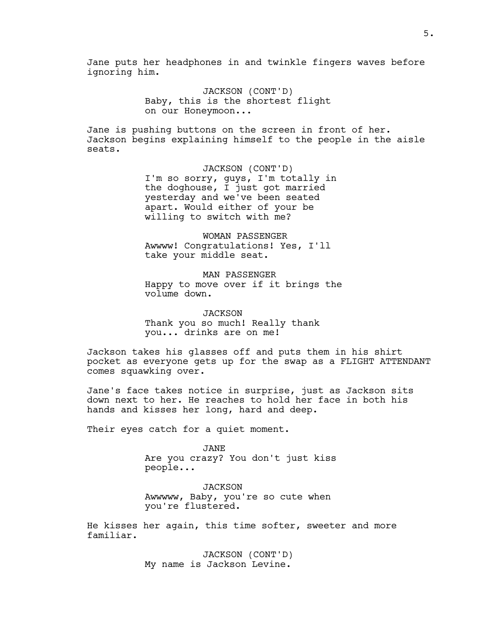Jane puts her headphones in and twinkle fingers waves before ignoring him.

> JACKSON (CONT'D) Baby, this is the shortest flight on our Honeymoon...

Jane is pushing buttons on the screen in front of her. Jackson begins explaining himself to the people in the aisle seats.

> JACKSON (CONT'D) I'm so sorry, guys, I'm totally in the doghouse, I just got married yesterday and we've been seated apart. Would either of your be willing to switch with me?

WOMAN PASSENGER Awwww! Congratulations! Yes, I'll take your middle seat.

MAN PASSENGER Happy to move over if it brings the volume down.

*JACKSON* Thank you so much! Really thank you... drinks are on me!

Jackson takes his glasses off and puts them in his shirt pocket as everyone gets up for the swap as a FLIGHT ATTENDANT comes squawking over.

Jane's face takes notice in surprise, just as Jackson sits down next to her. He reaches to hold her face in both his hands and kisses her long, hard and deep.

Their eyes catch for a quiet moment.

JANE Are you crazy? You don't just kiss people...

JACKSON Awwwww, Baby, you're so cute when you're flustered.

He kisses her again, this time softer, sweeter and more familiar.

> JACKSON (CONT'D) My name is Jackson Levine.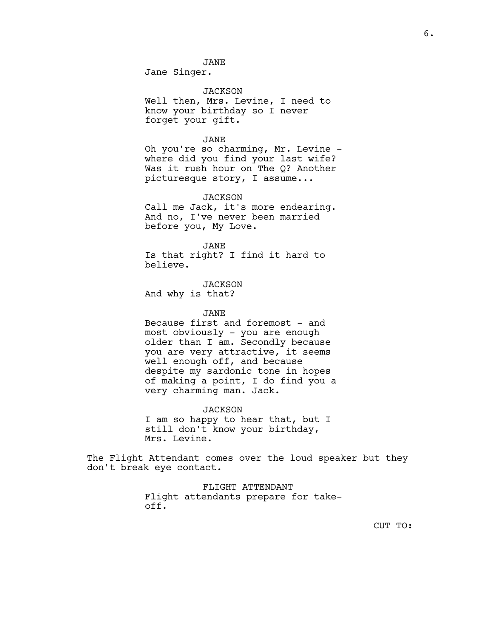JANE

Jane Singer.

# *JACKSON*

Well then, Mrs. Levine, I need to know your birthday so I never forget your gift.

#### JANE

Oh you're so charming, Mr. Levine where did you find your last wife? Was it rush hour on The Q? Another picturesque story, I assume...

#### JACKSON

Call me Jack, it's more endearing. And no, I've never been married before you, My Love.

JANE

Is that right? I find it hard to believe.

JACKSON And why is that?

## JANE

Because first and foremost - and most obviously - you are enough older than I am. Secondly because you are very attractive, it seems well enough off, and because despite my sardonic tone in hopes of making a point, I do find you a very charming man. Jack.

#### JACKSON

I am so happy to hear that, but I still don't know your birthday, Mrs. Levine.

The Flight Attendant comes over the loud speaker but they don't break eye contact.

> FLIGHT ATTENDANT Flight attendants prepare for takeoff.

> > CUT TO: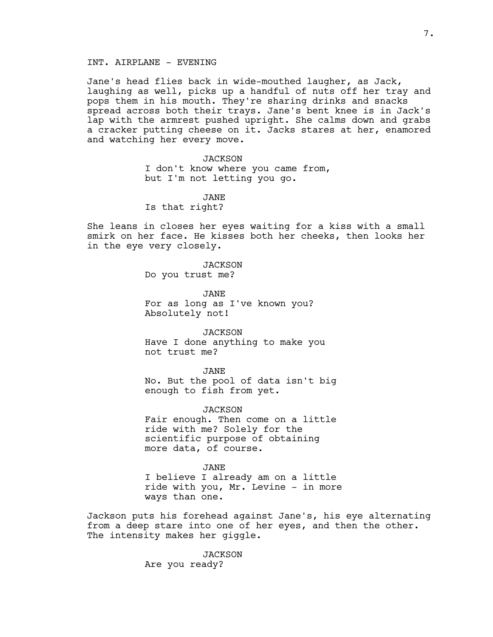# INT. AIRPLANE - EVENING

Jane's head flies back in wide-mouthed laugher, as Jack, laughing as well, picks up a handful of nuts off her tray and pops them in his mouth. They're sharing drinks and snacks spread across both their trays. Jane's bent knee is in Jack's lap with the armrest pushed upright. She calms down and grabs a cracker putting cheese on it. Jacks stares at her, enamored and watching her every move.

> *JACKSON* I don't know where you came from, but I'm not letting you go.

JANE Is that right?

She leans in closes her eyes waiting for a kiss with a small smirk on her face. He kisses both her cheeks, then looks her in the eye very closely.

> *JACKSON* Do you trust me?

JANE For as long as I've known you? Absolutely not!

JACKSON Have I done anything to make you not trust me?

JANE

No. But the pool of data isn't big enough to fish from yet.

*JACKSON* Fair enough. Then come on a little ride with me? Solely for the scientific purpose of obtaining more data, of course.

JANE I believe I already am on a little ride with you, Mr. Levine - in more ways than one.

Jackson puts his forehead against Jane's, his eye alternating from a deep stare into one of her eyes, and then the other. The intensity makes her giggle.

> JACKSON Are you ready?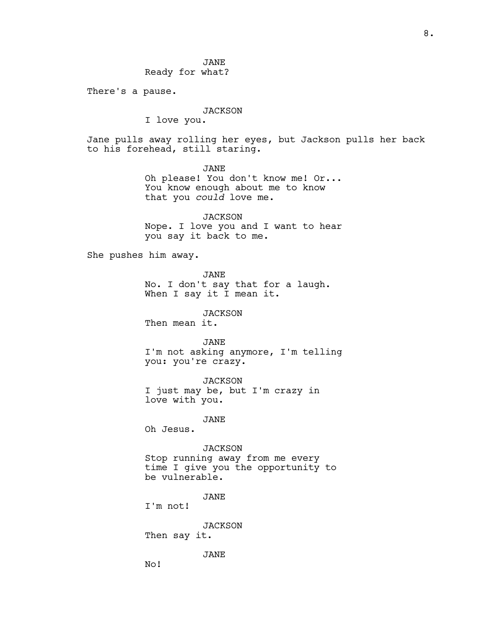JANE Ready for what?

There's a pause.

# *JACKSON*

I love you.

Jane pulls away rolling her eyes, but Jackson pulls her back to his forehead, still staring.

> JANE Oh please! You don't know me! Or... You know enough about me to know that you *could* love me.

> JACKSON Nope. I love you and I want to hear you say it back to me.

She pushes him away.

JANE

No. I don't say that for a laugh. When I say it I mean it.

JACKSON

Then mean it.

JANE I'm not asking anymore, I'm telling you: you're crazy.

JACKSON I just may be, but I'm crazy in love with you.

JANE

Oh Jesus.

*JACKSON* 

Stop running away from me every time I give you the opportunity to be vulnerable.

JANE

I'm not!

JACKSON Then say it.

JANE

No!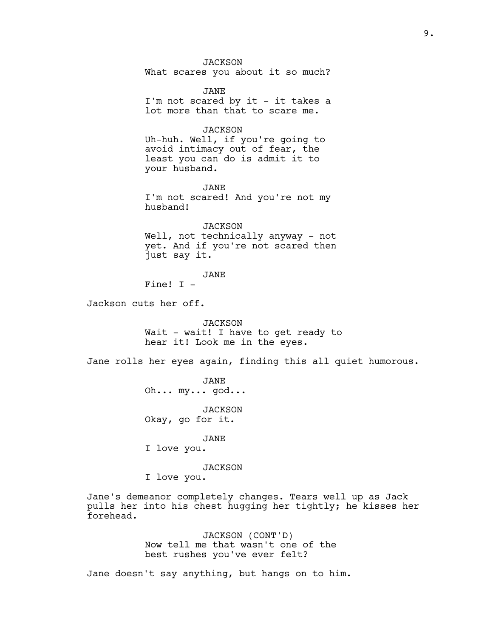*JACKSON* What scares you about it so much? JANE I'm not scared by it - it takes a lot more than that to scare me. *JACKSON* Uh-huh. Well, if you're going to avoid intimacy out of fear, the least you can do is admit it to your husband. JANE I'm not scared! And you're not my husband! JACKSON Well, not technically anyway - not yet. And if you're not scared then just say it. JANE Fine! I - Jackson cuts her off. **JACKSON** Wait - wait! I have to get ready to hear it! Look me in the eyes. Jane rolls her eyes again, finding this all quiet humorous. JANE Oh... my... god... JACKSON Okay, go for it. JANE I love you. *JACKSON* I love you. Jane's demeanor completely changes. Tears well up as Jack pulls her into his chest hugging her tightly; he kisses her forehead. JACKSON (CONT'D)

Now tell me that wasn't one of the best rushes you've ever felt?

Jane doesn't say anything, but hangs on to him.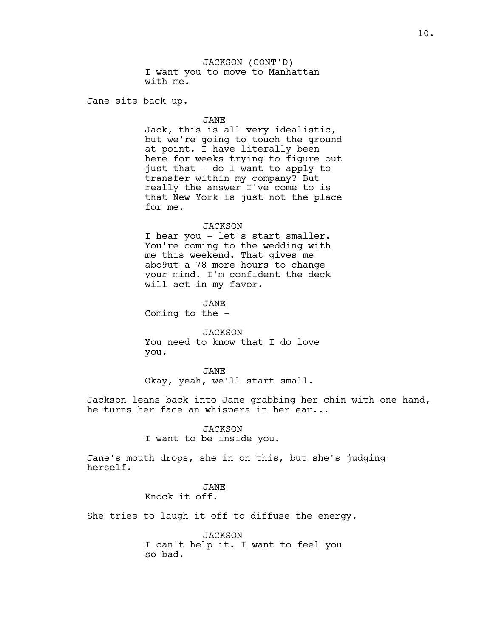JACKSON (CONT'D) I want you to move to Manhattan with me.

Jane sits back up.

JANE

Jack, this is all very idealistic, but we're going to touch the ground at point. I have literally been here for weeks trying to figure out just that - do I want to apply to transfer within my company? But really the answer I've come to is that New York is just not the place for me.

### JACKSON

I hear you - let's start smaller. You're coming to the wedding with me this weekend. That gives me abo9ut a 78 more hours to change your mind. I'm confident the deck will act in my favor.

JANE

Coming to the -

JACKSON You need to know that I do love you.

JANE Okay, yeah, we'll start small.

Jackson leans back into Jane grabbing her chin with one hand, he turns her face an whispers in her ear...

> *JACKSON* I want to be inside you.

Jane's mouth drops, she in on this, but she's judging herself.

## JANE Knock it off.

She tries to laugh it off to diffuse the energy.

**JACKSON** I can't help it. I want to feel you so bad.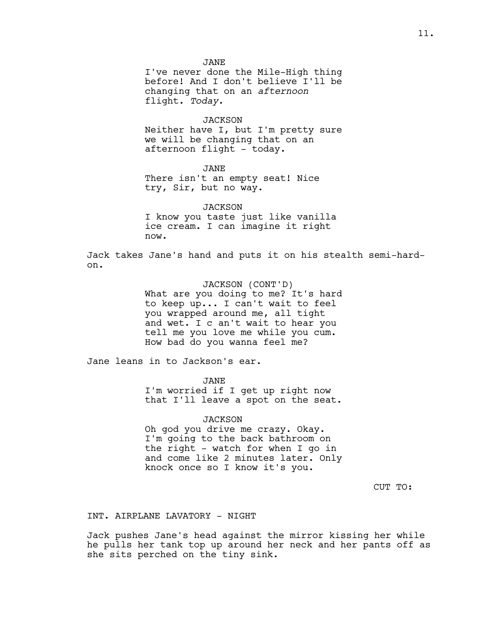JANE I've never done the Mile-High thing before! And I don't believe I'll be changing that on an *afternoon* flight. *Today*.

#### JACKSON

Neither have I, but I'm pretty sure we will be changing that on an afternoon flight - today.

JANE

There isn't an empty seat! Nice try, Sir, but no way.

*JACKSON* I know you taste just like vanilla ice cream. I can imagine it right now.

Jack takes Jane's hand and puts it on his stealth semi-hardon.

> JACKSON (CONT'D) What are you doing to me? It's hard to keep up... I can't wait to feel you wrapped around me, all tight and wet. I c an't wait to hear you tell me you love me while you cum. How bad do you wanna feel me?

Jane leans in to Jackson's ear.

JANE

I'm worried if I get up right now that I'll leave a spot on the seat.

JACKSON Oh god you drive me crazy. Okay. I'm going to the back bathroom on the right - watch for when I go in and come like 2 minutes later. Only knock once so I know it's you.

CUT TO:

### INT. AIRPLANE LAVATORY - NIGHT

Jack pushes Jane's head against the mirror kissing her while he pulls her tank top up around her neck and her pants off as she sits perched on the tiny sink.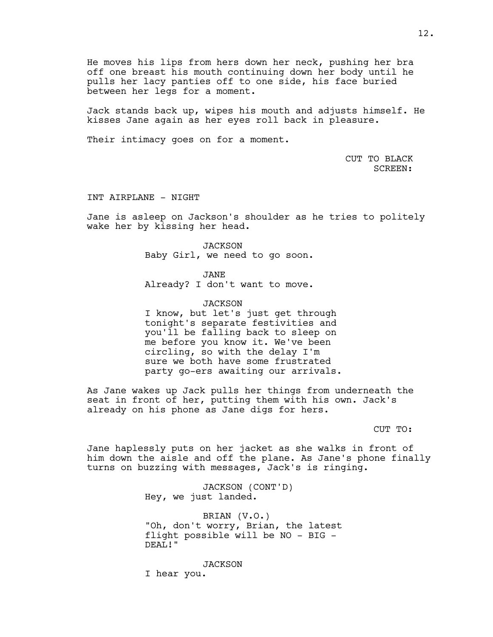He moves his lips from hers down her neck, pushing her bra off one breast his mouth continuing down her body until he pulls her lacy panties off to one side, his face buried between her legs for a moment.

Jack stands back up, wipes his mouth and adjusts himself. He kisses Jane again as her eyes roll back in pleasure.

Their intimacy goes on for a moment.

CUT TO BLACK SCREEN:

INT AIRPLANE - NIGHT

Jane is asleep on Jackson's shoulder as he tries to politely wake her by kissing her head.

> JACKSON Baby Girl, we need to go soon.

> > JANE

Already? I don't want to move.

JACKSON

I know, but let's just get through tonight's separate festivities and you'll be falling back to sleep on me before you know it. We've been circling, so with the delay I'm sure we both have some frustrated party go-ers awaiting our arrivals.

As Jane wakes up Jack pulls her things from underneath the seat in front of her, putting them with his own. Jack's already on his phone as Jane digs for hers.

CUT TO:

Jane haplessly puts on her jacket as she walks in front of him down the aisle and off the plane. As Jane's phone finally turns on buzzing with messages, Jack's is ringing.

> JACKSON (CONT'D) Hey, we just landed.

BRIAN (V.O.) "Oh, don't worry, Brian, the latest flight possible will be NO - BIG - DEAL!"

*JACKSON* I hear you.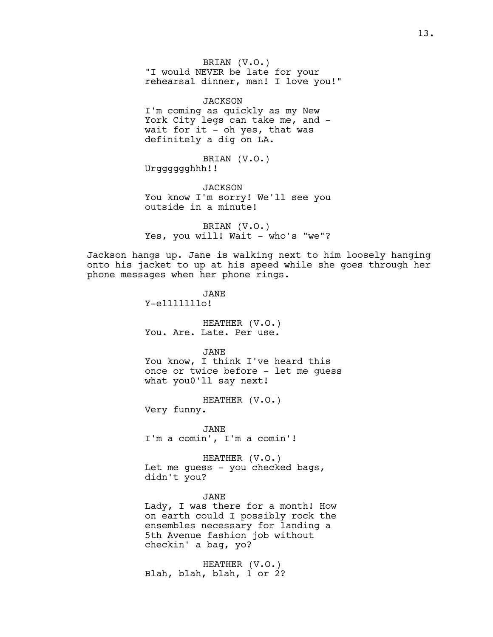BRIAN (V.O.) "I would NEVER be late for your rehearsal dinner, man! I love you!"

JACKSON I'm coming as quickly as my New York City legs can take me, and wait for it  $-$  oh yes, that was definitely a dig on LA.

BRIAN (V.O.) Urgggggghhh!!

*JACKSON* You know I'm sorry! We'll see you outside in a minute!

BRIAN (V.O.) Yes, you will! Wait - who's "we"?

Jackson hangs up. Jane is walking next to him loosely hanging onto his jacket to up at his speed while she goes through her phone messages when her phone rings.

> JANE Y-elllllllo! HEATHER (V.O.) You. Are. Late. Per use. JANE You know, I think I've heard this once or twice before - let me guess

HEATHER (V.O.)

what you0'll say next!

Very funny.

JANE I'm a comin', I'm a comin'!

HEATHER (V.O.) Let me guess - you checked bags, didn't you?

JANE Lady, I was there for a month! How on earth could I possibly rock the ensembles necessary for landing a 5th Avenue fashion job without checkin' a bag, yo?

HEATHER (V.O.) Blah, blah, blah, 1 or 2?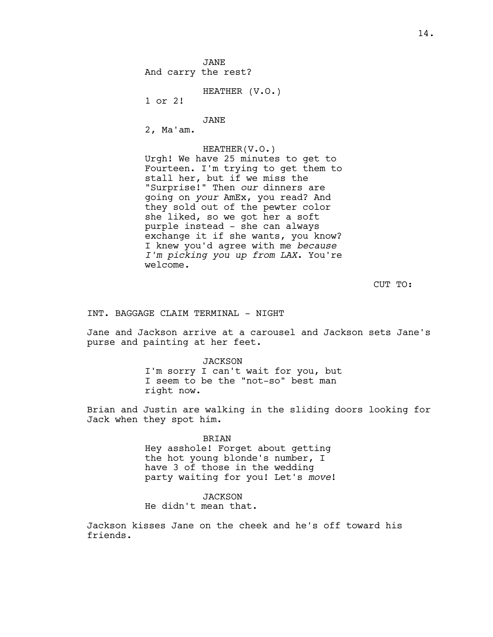JANE And carry the rest?

HEATHER (V.O.)

1 or 2!

JANE

2, Ma'am.

HEATHER(V.O.)

Urgh! We have 25 minutes to get to Fourteen. I'm trying to get them to stall her, but if we miss the "Surprise!" Then *our* dinners are going on *your* AmEx, you read? And they sold out of the pewter color she liked, so we got her a soft purple instead - she can always exchange it if she wants, you know? I knew you'd agree with me *because I'm picking you up from LAX*. You're welcome.

CUT TO:

INT. BAGGAGE CLAIM TERMINAL - NIGHT

Jane and Jackson arrive at a carousel and Jackson sets Jane's purse and painting at her feet.

> JACKSON I'm sorry I can't wait for you, but I seem to be the "not-so" best man right now.

Brian and Justin are walking in the sliding doors looking for Jack when they spot him.

BRIAN

Hey asshole! Forget about getting the hot young blonde's number, I have 3 of those in the wedding party waiting for you! Let's *move*!

*JACKSON* 

He didn't mean that.

Jackson kisses Jane on the cheek and he's off toward his friends.